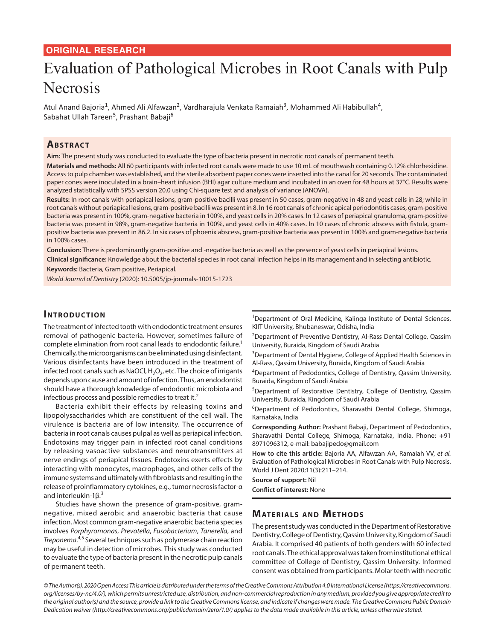### **ORIGINAL RESEARCH**

# Evaluation of Pathological Microbes in Root Canals with Pulp Necrosis

Atul Anand Bajoria<sup>1</sup>, Ahmed Ali Alfawzan<sup>2</sup>, Vardharajula Venkata Ramaiah<sup>3</sup>, Mohammed Ali Habibullah<sup>4</sup>, Sabahat Ullah Tareen<sup>5</sup>, Prashant Babaji<sup>6</sup>

# **ABSTRACT**

**Aim:** The present study was conducted to evaluate the type of bacteria present in necrotic root canals of permanent teeth.

**Materials and methods:** All 60 participants with infected root canals were made to use 10 mL of mouthwash containing 0.12% chlorhexidine. Access to pulp chamber was established, and the sterile absorbent paper cones were inserted into the canal for 20 seconds. The contaminated paper cones were inoculated in a brain–heart infusion (BHI) agar culture medium and incubated in an oven for 48 hours at 37°C. Results were analyzed statistically with SPSS version 20.0 using Chi-square test and analysis of variance (ANOVA).

Results: In root canals with periapical lesions, gram-positive bacilli was present in 50 cases, gram-negative in 48 and yeast cells in 28; while in root canals without periapical lesions, gram-positive bacilli was present in 8. In 16 root canals of chronic apical periodontitis cases, gram-positive bacteria was present in 100%, gram-negative bacteria in 100%, and yeast cells in 20% cases. In 12 cases of periapical granuloma, gram-positive bacteria was present in 98%, gram-negative bacteria in 100%, and yeast cells in 40% cases. In 10 cases of chronic abscess with fistula, grampositive bacteria was present in 86.2. In six cases of phoenix abscess, gram-positive bacteria was present in 100% and gram-negative bacteria in 100% cases.

**Conclusion:** There is predominantly gram-positive and -negative bacteria as well as the presence of yeast cells in periapical lesions.

**Clinical significance:** Knowledge about the bacterial species in root canal infection helps in its management and in selecting antibiotic.

**Keywords:** Bacteria, Gram positive, Periapical.

*World Journal of Dentistry* (2020): 10.5005/jp-journals-10015-1723

### **INTRODUCTION**

The treatment of infected tooth with endodontic treatment ensures removal of pathogenic bacteria. However, sometimes failure of complete elimination from root canal leads to endodontic failure.<sup>1</sup> Chemically, the microorganisms can be eliminated using disinfectant. Various disinfectants have been introduced in the treatment of infected root canals such as NaOCl,  $H_2O_2$ , etc. The choice of irrigants depends upon cause and amount of infection. Thus, an endodontist should have a thorough knowledge of endodontic microbiota and infectious process and possible remedies to treat it.<sup>2</sup>

Bacteria exhibit their effects by releasing toxins and lipopolysaccharides which are constituent of the cell wall. The virulence is bacteria are of low intensity. The occurrence of bacteria in root canals causes pulpal as well as periapical infection. Endotoxins may trigger pain in infected root canal conditions by releasing vasoactive substances and neurotransmitters at nerve endings of periapical tissues. Endotoxins exerts effects by interacting with monocytes, macrophages, and other cells of the immune systems and ultimately with fibroblasts and resulting in the release of proinflammatory cytokines, e.g., tumor necrosis factor-α and interleukin-1β.<sup>3</sup>

Studies have shown the presence of gram-positive, gramnegative, mixed aerobic and anaerobic bacteria that cause infection. Most common gram-negative anaerobic bacteria species involves *Porphyromonas*, *Prevotella*, *Fusobacterium*, *Tanerella*, and *Treponema*. 4,5 Several techniques such as polymerase chain reaction may be useful in detection of microbes. This study was conducted to evaluate the type of bacteria present in the necrotic pulp canals of permanent teeth.

<sup>1</sup>Department of Oral Medicine, Kalinga Institute of Dental Sciences, KIIT University, Bhubaneswar, Odisha, India

<sup>2</sup>Department of Preventive Dentistry, Al-Rass Dental College, Qassim University, Buraida, Kingdom of Saudi Arabia

<sup>3</sup>Department of Dental Hygiene, College of Applied Health Sciences in Al-Rass, Qassim University, Buraida, Kingdom of Saudi Arabia

4 Department of Pedodontics, College of Dentistry, Qassim University, Buraida, Kingdom of Saudi Arabia

5 Department of Restorative Dentistry, College of Dentistry, Qassim University, Buraida, Kingdom of Saudi Arabia

6 Department of Pedodontics, Sharavathi Dental College, Shimoga, Karnataka, India

**Corresponding Author:** Prashant Babaji, Department of Pedodontics, Sharavathi Dental College, Shimoga, Karnataka, India, Phone: +91 8971096312, e-mail: babajipedo@gmail.com

**How to cite this article:** Bajoria AA, Alfawzan AA, Ramaiah VV, *et al.* Evaluation of Pathological Microbes in Root Canals with Pulp Necrosis. World J Dent 2020;11(3):211–214.

**Source of support:** Nil

**Conflict of interest:** None

#### **MATERIALS AND METHODS**

The present study was conducted in the Department of Restorative Dentistry, College of Dentistry, Qassim University, Kingdom of Saudi Arabia. It comprised 40 patients of both genders with 60 infected root canals. The ethical approval was taken from institutional ethical committee of College of Dentistry, Qassim University. Informed consent was obtained from participants. Molar teeth with necrotic

*<sup>©</sup> The Author(s). 2020 Open Access This article is distributed under the terms of the Creative Commons Attribution 4.0 International License (https://creativecommons. org/licenses/by-nc/4.0/), which permits unrestricted use, distribution, and non-commercial reproduction in any medium, provided you give appropriate credit to the original author(s) and the source, provide a link to the Creative Commons license, and indicate if changes were made. The Creative Commons Public Domain Dedication waiver (http://creativecommons.org/publicdomain/zero/1.0/) applies to the data made available in this article, unless otherwise stated.*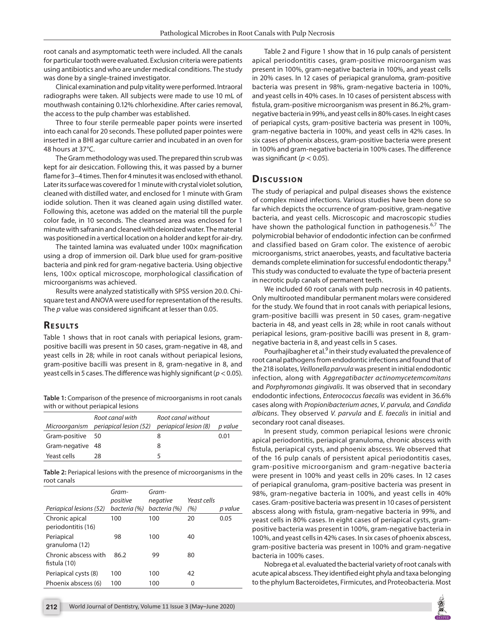root canals and asymptomatic teeth were included. All the canals for particular tooth were evaluated. Exclusion criteria were patients using antibiotics and who are under medical conditions. The study was done by a single-trained investigator.

Clinical examination and pulp vitality were performed. Intraoral radiographs were taken. All subjects were made to use 10 mL of mouthwash containing 0.12% chlorhexidine. After caries removal, the access to the pulp chamber was established.

Three to four sterile permeable paper points were inserted into each canal for 20 seconds. These polluted paper pointes were inserted in a BHI agar culture carrier and incubated in an oven for 48 hours at 37°C.

The Gram methodology was used. The prepared thin scrub was kept for air desiccation. Following this, it was passed by a burner flame for 3–4 times. Then for 4 minutes it was enclosed with ethanol. Later its surface was covered for 1 minute with crystal violet solution, cleaned with distilled water, and enclosed for 1 minute with Gram iodide solution. Then it was cleaned again using distilled water. Following this, acetone was added on the material till the purple color fade, in 10 seconds. The cleansed area was enclosed for 1 minute with safranin and cleaned with deionized water. The material was positioned in a vertical location on a holder and kept for air-dry.

The tainted lamina was evaluated under  $100\times$  magnification using a drop of immersion oil. Dark blue used for gram-positive bacteria and pink red for gram-negative bacteria. Using objective lens, 100x optical microscope, morphological classification of microorganisms was achieved.

Results were analyzed statistically with SPSS version 20.0. Chisquare test and ANOVA were used for representation of the results. The *p* value was considered significant at lesser than 0.05.

# **RESULTS**

Table 1 shows that in root canals with periapical lesions, grampositive bacilli was present in 50 cases, gram-negative in 48, and yeast cells in 28; while in root canals without periapical lesions, gram-positive bacilli was present in 8, gram-negative in 8, and yeast cells in 5 cases. The difference was highly significant (*p*< 0.05).

| Table 1: Comparison of the presence of microorganisms in root canals |
|----------------------------------------------------------------------|
| with or without periapical lesions                                   |

|                  | Root canal with<br>Microorganism periapical lesion (52) | Root canal without<br>periapical lesion (8) | p value |
|------------------|---------------------------------------------------------|---------------------------------------------|---------|
| Gram-positive 50 |                                                         |                                             | 0.01    |
| Gram-negative 48 |                                                         | 8                                           |         |
| Yeast cells      | 28                                                      |                                             |         |

**Table 2:** Periapical lesions with the presence of microorganisms in the root canals

| Periapical lesions (52)              | Gram-<br>positive<br>bacteria (%) | Gram-<br>negative<br>bacteria (%) | Yeast cells<br>(%) | p value |
|--------------------------------------|-----------------------------------|-----------------------------------|--------------------|---------|
| Chronic apical<br>periodontitis (16) | 100                               | 100                               | 20                 | 0.05    |
| Periapical<br>granuloma (12)         | 98                                | 100                               | 40                 |         |
| Chronic abscess with<br>fistula (10) | 86.2                              | 99                                | 80                 |         |
| Periapical cysts (8)                 | 100                               | 100                               | 42                 |         |
| Phoenix abscess (6)                  | 100                               | 100                               | 0                  |         |

Table 2 and Figure 1 show that in 16 pulp canals of persistent apical periodontitis cases, gram-positive microorganism was present in 100%, gram-negative bacteria in 100%, and yeast cells in 20% cases. In 12 cases of periapical granuloma, gram-positive bacteria was present in 98%, gram-negative bacteria in 100%, and yeast cells in 40% cases. In 10 cases of persistent abscess with fistula, gram-positive microorganism was present in 86.2%, gramnegative bacteria in 99%, and yeast cells in 80% cases. In eight cases of periapical cysts, gram-positive bacteria was present in 100%, gram-negative bacteria in 100%, and yeast cells in 42% cases. In six cases of phoenix abscess, gram-positive bacteria were present in 100% and gram-negative bacteria in 100% cases. The difference was significant ( $p < 0.05$ ).

## **Dis c u s sio n**

The study of periapical and pulpal diseases shows the existence of complex mixed infections. Various studies have been done so far which depicts the occurrence of gram-positive, gram-negative bacteria, and yeast cells. Microscopic and macroscopic studies have shown the pathological function in pathogenesis.<sup>6,7</sup> The polymicrobial behavior of endodontic infection can be confirmed and classified based on Gram color. The existence of aerobic microorganisms, strict anaerobes, yeasts, and facultative bacteria demands complete elimination for successful endodontic therapy.<sup>8</sup> This study was conducted to evaluate the type of bacteria present in necrotic pulp canals of permanent teeth.

We included 60 root canals with pulp necrosis in 40 patients. Only multirooted mandibular permanent molars were considered for the study. We found that in root canals with periapical lesions, gram-positive bacilli was present in 50 cases, gram-negative bacteria in 48, and yeast cells in 28; while in root canals without periapical lesions, gram-positive bacilli was present in 8, gramnegative bacteria in 8, and yeast cells in 5 cases.

Pourhajibagher et al.<sup>9</sup> in their study evaluated the prevalence of root canal pathogens from endodontic infections and found that of the 218 isolates, *Veillonella parvula* was present in initial endodontic infection, along with *Aggregatibacter actinomycetemcomitans* and *Porphyromonas gingivalis*. It was observed that in secondary endodontic infections, *Enterococcus faecalis* was evident in 36.6% cases along with *Propionibacterium acnes*, *V. parvula*, and *Candida albicans*. They observed *V. parvula* and *E. faecalis* in initial and secondary root canal diseases.

In present study, common periapical lesions were chronic apical periodontitis, periapical granuloma, chronic abscess with fistula, periapical cysts, and phoenix abscess. We observed that of the 16 pulp canals of persistent apical periodontitis cases, gram-positive microorganism and gram-negative bacteria were present in 100% and yeast cells in 20% cases. In 12 cases of periapical granuloma, gram-positive bacteria was present in 98%, gram-negative bacteria in 100%, and yeast cells in 40% cases. Gram-positive bacteria was present in 10 cases of persistent abscess along with fistula, gram-negative bacteria in 99%, and yeast cells in 80% cases. In eight cases of periapical cysts, grampositive bacteria was present in 100%, gram-negative bacteria in 100%, and yeast cells in 42% cases. In six cases of phoenix abscess, gram-positive bacteria was present in 100% and gram-negative bacteria in 100% cases.

Nobrega et al. evaluated the bacterial variety of root canals with acute apical abscess. They identified eight phyla and taxa belonging to the phylum Bacteroidetes, Firmicutes, and Proteobacteria. Most

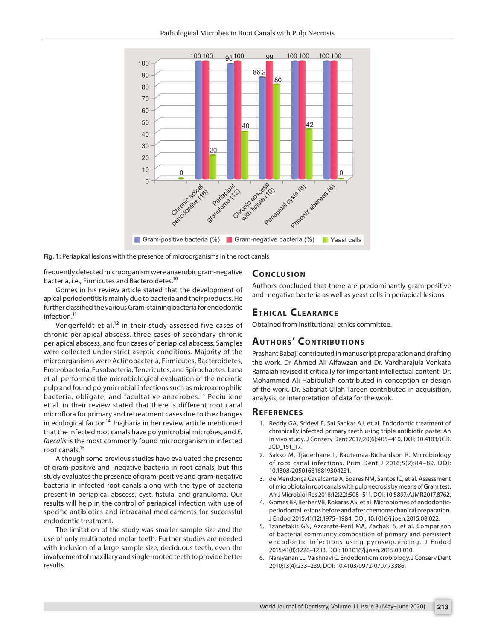

**Fig. 1:** Periapical lesions with the presence of microorganisms in the root canals

frequently detected microorganism were anaerobic gram-negative bacteria, i.e., Firmicutes and Bacteroidetes.10

Gomes in his review article stated that the development of apical periodontitis is mainly due to bacteria and their products. He further classified the various Gram-staining bacteria for endodontic infection.11

Vengerfeldt et al.<sup>12</sup> in their study assessed five cases of chronic periapical abscess, three cases of secondary chronic periapical abscess, and four cases of periapical abscess. Samples were collected under strict aseptic conditions. Majority of the microorganisms were Actinobacteria, Firmicutes, Bacteroidetes, Proteobacteria, Fusobacteria, Tenericutes, and Spirochaetes. Lana et al. performed the microbiological evaluation of the necrotic pulp and found polymicrobial infections such as microaerophilic bacteria, obligate, and facultative anaerobes.<sup>13</sup> Peciuliene et al. in their review stated that there is different root canal microflora for primary and retreatment cases due to the changes in ecological factor.<sup>14</sup> Jhajharia in her review article mentioned that the infected root canals have polymicrobial microbes, and *E. faecalis* is the most commonly found microorganism in infected root canals.15

Although some previous studies have evaluated the presence of gram-positive and -negative bacteria in root canals, but this study evaluates the presence of gram-positive and gram-negative bacteria in infected root canals along with the type of bacteria present in periapical abscess, cyst, fistula, and granuloma. Our results will help in the control of periapical infection with use of specific antibiotics and intracanal medicaments for successful endodontic treatment.

The limitation of the study was smaller sample size and the use of only multirooted molar teeth. Further studies are needed with inclusion of a large sample size, deciduous teeth, even the involvement of maxillary and single-rooted teeth to provide better results.

#### **CONCLUSION**

Authors concluded that there are predominantly gram-positive and -negative bacteria as well as yeast cells in periapical lesions.

## **ETHICAL CLEARANCE**

Obtained from institutional ethics committee.

# **AUTHORS' CONTRIBUTIONS**

Prashant Babaji contributed in manuscript preparation and drafting the work. Dr Ahmed Ali Alfawzan and Dr. Vardharajula Venkata Ramaiah revised it critically for important intellectual content. Dr. Mohammed Ali Habibullah contributed in conception or design of the work. Dr. Sabahat Ullah Tareen contributed in acquisition, analysis, or interpretation of data for the work.

#### **REFERENCES**

- 1. Reddy GA, Sridevi E, Sai Sankar AJ, et al. Endodontic treatment of chronically infected primary teeth using triple antibiotic paste: An in vivo study. J Conserv Dent 2017;20(6):405–410. DOI: 10.4103/JCD. JCD\_161\_17.
- 2. Sakko M, Tjäderhane L, Rautemaa-Richardson R. Microbiology of root canal infections. Prim Dent J 2016;5(2):84–89. DOI: 10.1308/205016816819304231.
- 3. de Mendonça Cavalcante A, Soares NM, Santos IC, et al. Assessment of microbiota in root canals with pulp necrosis by means of Gram test. Afr J Microbiol Res 2018;12(22):508–511. DOI: 10.5897/AJMR2017.8762.
- 4. Gomes BP, Berber VB, Kokaras AS, et al. Microbiomes of endodonticperiodontal lesions before and after chemomechanical preparation. J Endod 2015;41(12):1975–1984. DOI: 10.1016/j.joen.2015.08.022.
- 5. Tzanetakis GN, Azcarate-Peril MA, Zachaki S, et al. Comparison of bacterial community composition of primary and persistent endodontic infections using pyrosequencing. J Endod 2015;41(8):1226–1233. DOI: 10.1016/j.joen.2015.03.010.
- 6. Narayanan LL, Vaishnavi C. Endodontic microbiology. J Conserv Dent 2010;13(4):233–239. DOI: 10.4103/0972-0707.73386.